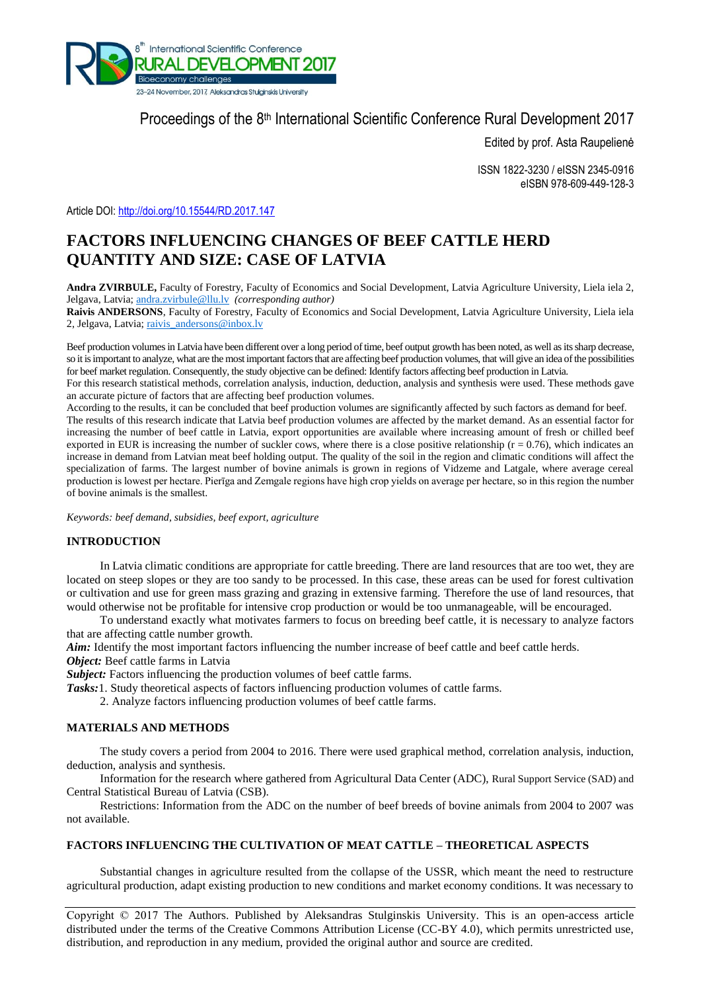

# Proceedings of the 8<sup>th</sup> International Scientific Conference Rural Development 2017

Edited by prof. Asta Raupelienė

ISSN 1822-3230 / eISSN 2345-0916 eISBN 978-609-449-128-3

Article DOI:<http://doi.org/10.15544/RD.2017.147>

# **FACTORS INFLUENCING CHANGES OF BEEF CATTLE HERD QUANTITY AND SIZE: CASE OF LATVIA**

**Andra ZVIRBULE,** Faculty of Forestry, Faculty of Economics and Social Development, Latvia Agriculture University, Liela iela 2, Jelgava, Latvia; [andra.zvirbule@llu.lv](mailto:andra.zvirbule@llu.lv) *(corresponding author)*

**Raivis ANDERSONS**, Faculty of Forestry, Faculty of Economics and Social Development, Latvia Agriculture University, Liela iela 2, Jelgava, Latvia; [raivis\\_andersons@inbox.lv](mailto:raivis_andersons@inbox.lv)

Beef production volumes in Latvia have been different over a long period of time, beef output growth has been noted, as well as itssharp decrease, so it is important to analyze, what are the most important factors that are affecting beef production volumes, that will give an idea of the possibilities for beef market regulation. Consequently, the study objective can be defined: Identify factors affecting beef production in Latvia.

For this research statistical methods, correlation analysis, induction, deduction, analysis and synthesis were used. These methods gave an accurate picture of factors that are affecting beef production volumes.

According to the results, it can be concluded that beef production volumes are significantly affected by such factors as demand for beef. The results of this research indicate that Latvia beef production volumes are affected by the market demand. As an essential factor for increasing the number of beef cattle in Latvia, export opportunities are available where increasing amount of fresh or chilled beef exported in EUR is increasing the number of suckler cows, where there is a close positive relationship ( $r = 0.76$ ), which indicates an increase in demand from Latvian meat beef holding output. The quality of the soil in the region and climatic conditions will affect the specialization of farms. The largest number of bovine animals is grown in regions of Vidzeme and Latgale, where average cereal production is lowest per hectare. Pierīga and Zemgale regions have high crop yields on average per hectare, so in this region the number of bovine animals is the smallest.

*Keywords: beef demand, subsidies, beef export, agriculture*

## **INTRODUCTION**

In Latvia climatic conditions are appropriate for cattle breeding. There are land resources that are too wet, they are located on steep slopes or they are too sandy to be processed. In this case, these areas can be used for forest cultivation or cultivation and use for green mass grazing and grazing in extensive farming. Therefore the use of land resources, that would otherwise not be profitable for intensive crop production or would be too unmanageable, will be encouraged.

To understand exactly what motivates farmers to focus on breeding beef cattle, it is necessary to analyze factors that are affecting cattle number growth.

*Aim:* Identify the most important factors influencing the number increase of beef cattle and beef cattle herds.

*Object:* Beef cattle farms in Latvia

*Subject:* Factors influencing the production volumes of beef cattle farms.

*Tasks:*1. Study theoretical aspects of factors influencing production volumes of cattle farms.

2. Analyze factors influencing production volumes of beef cattle farms.

# **MATERIALS AND METHODS**

The study covers a period from 2004 to 2016. There were used graphical method, correlation analysis, induction, deduction, analysis and synthesis.

Information for the research where gathered from Agricultural Data Center (ADC), Rural Support Service (SAD) and Central Statistical Bureau of Latvia (CSB).

Restrictions: Information from the ADC on the number of beef breeds of bovine animals from 2004 to 2007 was not available.

### **FACTORS INFLUENCING THE CULTIVATION OF MEAT CATTLE – THEORETICAL ASPECTS**

Substantial changes in agriculture resulted from the collapse of the USSR, which meant the need to restructure agricultural production, adapt existing production to new conditions and market economy conditions. It was necessary to

Copyright © 2017 The Authors. Published by Aleksandras Stulginskis University. This is an open-access article distributed under the terms of the Creative Commons Attribution License (CC-BY 4.0), which permits unrestricted use, distribution, and reproduction in any medium, provided the original author and source are credited.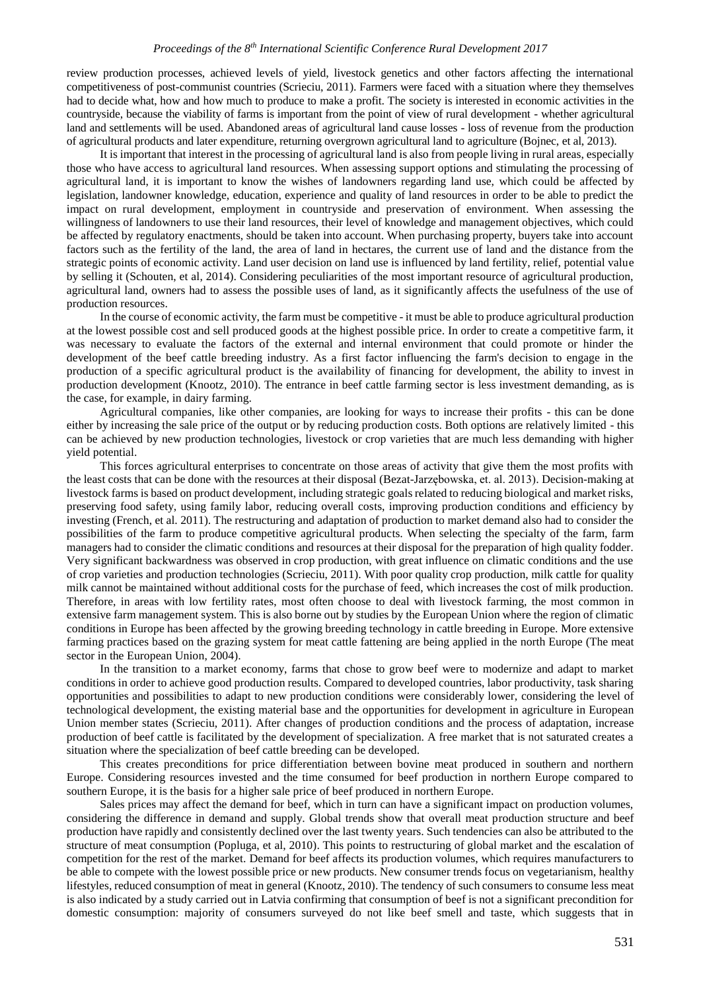review production processes, achieved levels of yield, livestock genetics and other factors affecting the international competitiveness of post-communist countries (Scrieciu, 2011). Farmers were faced with a situation where they themselves had to decide what, how and how much to produce to make a profit. The society is interested in economic activities in the countryside, because the viability of farms is important from the point of view of rural development - whether agricultural land and settlements will be used. Abandoned areas of agricultural land cause losses - loss of revenue from the production of agricultural products and later expenditure, returning overgrown agricultural land to agriculture (Bojnec, et al, 2013).

It is important that interest in the processing of agricultural land is also from people living in rural areas, especially those who have access to agricultural land resources. When assessing support options and stimulating the processing of agricultural land, it is important to know the wishes of landowners regarding land use, which could be affected by legislation, landowner knowledge, education, experience and quality of land resources in order to be able to predict the impact on rural development, employment in countryside and preservation of environment. When assessing the willingness of landowners to use their land resources, their level of knowledge and management objectives, which could be affected by regulatory enactments, should be taken into account. When purchasing property, buyers take into account factors such as the fertility of the land, the area of land in hectares, the current use of land and the distance from the strategic points of economic activity. Land user decision on land use is influenced by land fertility, relief, potential value by selling it (Schouten, et al, 2014). Considering peculiarities of the most important resource of agricultural production, agricultural land, owners had to assess the possible uses of land, as it significantly affects the usefulness of the use of production resources.

In the course of economic activity, the farm must be competitive - it must be able to produce agricultural production at the lowest possible cost and sell produced goods at the highest possible price. In order to create a competitive farm, it was necessary to evaluate the factors of the external and internal environment that could promote or hinder the development of the beef cattle breeding industry. As a first factor influencing the farm's decision to engage in the production of a specific agricultural product is the availability of financing for development, the ability to invest in production development (Knootz, 2010). The entrance in beef cattle farming sector is less investment demanding, as is the case, for example, in dairy farming.

Agricultural companies, like other companies, are looking for ways to increase their profits - this can be done either by increasing the sale price of the output or by reducing production costs. Both options are relatively limited - this can be achieved by new production technologies, livestock or crop varieties that are much less demanding with higher yield potential.

This forces agricultural enterprises to concentrate on those areas of activity that give them the most profits with the least costs that can be done with the resources at their disposal (Bezat-Jarzębowska, et. al. 2013). Decision-making at livestock farms is based on product development, including strategic goals related to reducing biological and market risks, preserving food safety, using family labor, reducing overall costs, improving production conditions and efficiency by investing (French, et al. 2011). The restructuring and adaptation of production to market demand also had to consider the possibilities of the farm to produce competitive agricultural products. When selecting the specialty of the farm, farm managers had to consider the climatic conditions and resources at their disposal for the preparation of high quality fodder. Very significant backwardness was observed in crop production, with great influence on climatic conditions and the use of crop varieties and production technologies (Scrieciu, 2011). With poor quality crop production, milk cattle for quality milk cannot be maintained without additional costs for the purchase of feed, which increases the cost of milk production. Therefore, in areas with low fertility rates, most often choose to deal with livestock farming, the most common in extensive farm management system. This is also borne out by studies by the European Union where the region of climatic conditions in Europe has been affected by the growing breeding technology in cattle breeding in Europe. More extensive farming practices based on the grazing system for meat cattle fattening are being applied in the north Europe (The meat sector in the European Union, 2004).

In the transition to a market economy, farms that chose to grow beef were to modernize and adapt to market conditions in order to achieve good production results. Compared to developed countries, labor productivity, task sharing opportunities and possibilities to adapt to new production conditions were considerably lower, considering the level of technological development, the existing material base and the opportunities for development in agriculture in European Union member states (Scrieciu, 2011). After changes of production conditions and the process of adaptation, increase production of beef cattle is facilitated by the development of specialization. A free market that is not saturated creates a situation where the specialization of beef cattle breeding can be developed.

This creates preconditions for price differentiation between bovine meat produced in southern and northern Europe. Considering resources invested and the time consumed for beef production in northern Europe compared to southern Europe, it is the basis for a higher sale price of beef produced in northern Europe.

Sales prices may affect the demand for beef, which in turn can have a significant impact on production volumes, considering the difference in demand and supply. Global trends show that overall meat production structure and beef production have rapidly and consistently declined over the last twenty years. Such tendencies can also be attributed to the structure of meat consumption (Popluga, et al, 2010). This points to restructuring of global market and the escalation of competition for the rest of the market. Demand for beef affects its production volumes, which requires manufacturers to be able to compete with the lowest possible price or new products. New consumer trends focus on vegetarianism, healthy lifestyles, reduced consumption of meat in general (Knootz, 2010). The tendency of such consumers to consume less meat is also indicated by a study carried out in Latvia confirming that consumption of beef is not a significant precondition for domestic consumption: majority of consumers surveyed do not like beef smell and taste, which suggests that in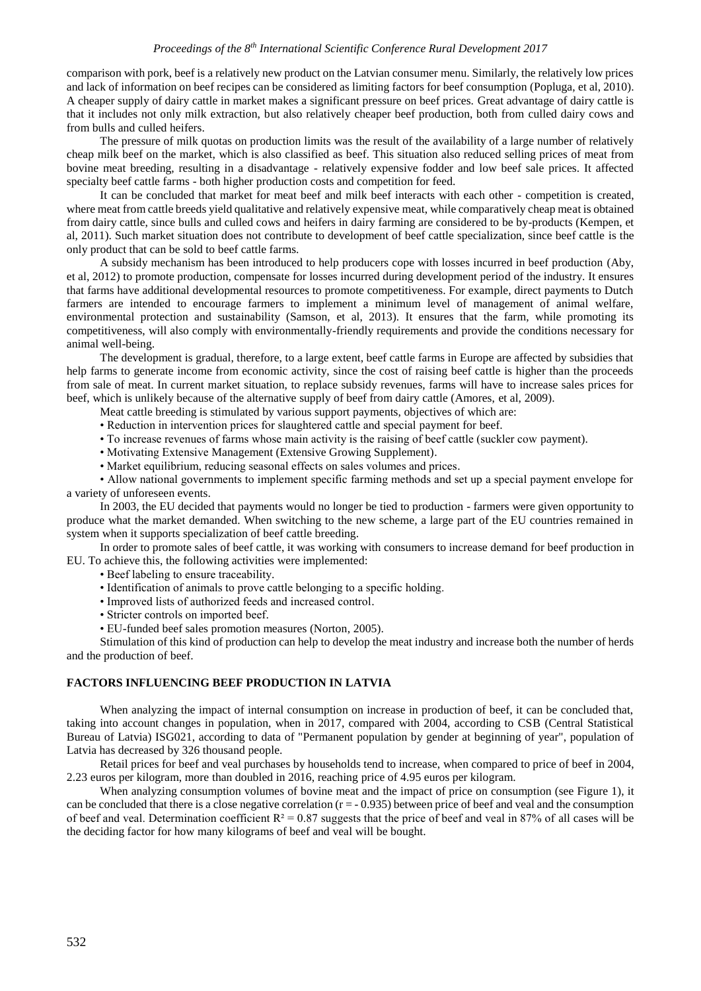comparison with pork, beef is a relatively new product on the Latvian consumer menu. Similarly, the relatively low prices and lack of information on beef recipes can be considered as limiting factors for beef consumption (Popluga, et al, 2010). A cheaper supply of dairy cattle in market makes a significant pressure on beef prices. Great advantage of dairy cattle is that it includes not only milk extraction, but also relatively cheaper beef production, both from culled dairy cows and from bulls and culled heifers.

The pressure of milk quotas on production limits was the result of the availability of a large number of relatively cheap milk beef on the market, which is also classified as beef. This situation also reduced selling prices of meat from bovine meat breeding, resulting in a disadvantage - relatively expensive fodder and low beef sale prices. It affected specialty beef cattle farms - both higher production costs and competition for feed.

It can be concluded that market for meat beef and milk beef interacts with each other - competition is created, where meat from cattle breeds yield qualitative and relatively expensive meat, while comparatively cheap meat is obtained from dairy cattle, since bulls and culled cows and heifers in dairy farming are considered to be by-products (Kempen, et al, 2011). Such market situation does not contribute to development of beef cattle specialization, since beef cattle is the only product that can be sold to beef cattle farms.

A subsidy mechanism has been introduced to help producers cope with losses incurred in beef production (Aby, et al, 2012) to promote production, compensate for losses incurred during development period of the industry. It ensures that farms have additional developmental resources to promote competitiveness. For example, direct payments to Dutch farmers are intended to encourage farmers to implement a minimum level of management of animal welfare, environmental protection and sustainability (Samson, et al, 2013). It ensures that the farm, while promoting its competitiveness, will also comply with environmentally-friendly requirements and provide the conditions necessary for animal well-being.

The development is gradual, therefore, to a large extent, beef cattle farms in Europe are affected by subsidies that help farms to generate income from economic activity, since the cost of raising beef cattle is higher than the proceeds from sale of meat. In current market situation, to replace subsidy revenues, farms will have to increase sales prices for beef, which is unlikely because of the alternative supply of beef from dairy cattle (Amores, et al, 2009).

Meat cattle breeding is stimulated by various support payments, objectives of which are:

- Reduction in intervention prices for slaughtered cattle and special payment for beef.
- To increase revenues of farms whose main activity is the raising of beef cattle (suckler cow payment).
- Motivating Extensive Management (Extensive Growing Supplement).
- Market equilibrium, reducing seasonal effects on sales volumes and prices.

• Allow national governments to implement specific farming methods and set up a special payment envelope for a variety of unforeseen events.

In 2003, the EU decided that payments would no longer be tied to production - farmers were given opportunity to produce what the market demanded. When switching to the new scheme, a large part of the EU countries remained in system when it supports specialization of beef cattle breeding.

In order to promote sales of beef cattle, it was working with consumers to increase demand for beef production in EU. To achieve this, the following activities were implemented:

- Beef labeling to ensure traceability.
- Identification of animals to prove cattle belonging to a specific holding.
- Improved lists of authorized feeds and increased control.
- Stricter controls on imported beef.
- EU-funded beef sales promotion measures (Norton, 2005).

Stimulation of this kind of production can help to develop the meat industry and increase both the number of herds and the production of beef.

### **FACTORS INFLUENCING BEEF PRODUCTION IN LATVIA**

When analyzing the impact of internal consumption on increase in production of beef, it can be concluded that, taking into account changes in population, when in 2017, compared with 2004, according to CSB (Central Statistical Bureau of Latvia) ISG021, according to data of "Permanent population by gender at beginning of year", population of Latvia has decreased by 326 thousand people.

Retail prices for beef and veal purchases by households tend to increase, when compared to price of beef in 2004, 2.23 euros per kilogram, more than doubled in 2016, reaching price of 4.95 euros per kilogram.

When analyzing consumption volumes of bovine meat and the impact of price on consumption (see Figure 1), it can be concluded that there is a close negative correlation  $(r = -0.935)$  between price of beef and veal and the consumption of beef and veal. Determination coefficient  $R^2 = 0.87$  suggests that the price of beef and veal in 87% of all cases will be the deciding factor for how many kilograms of beef and veal will be bought.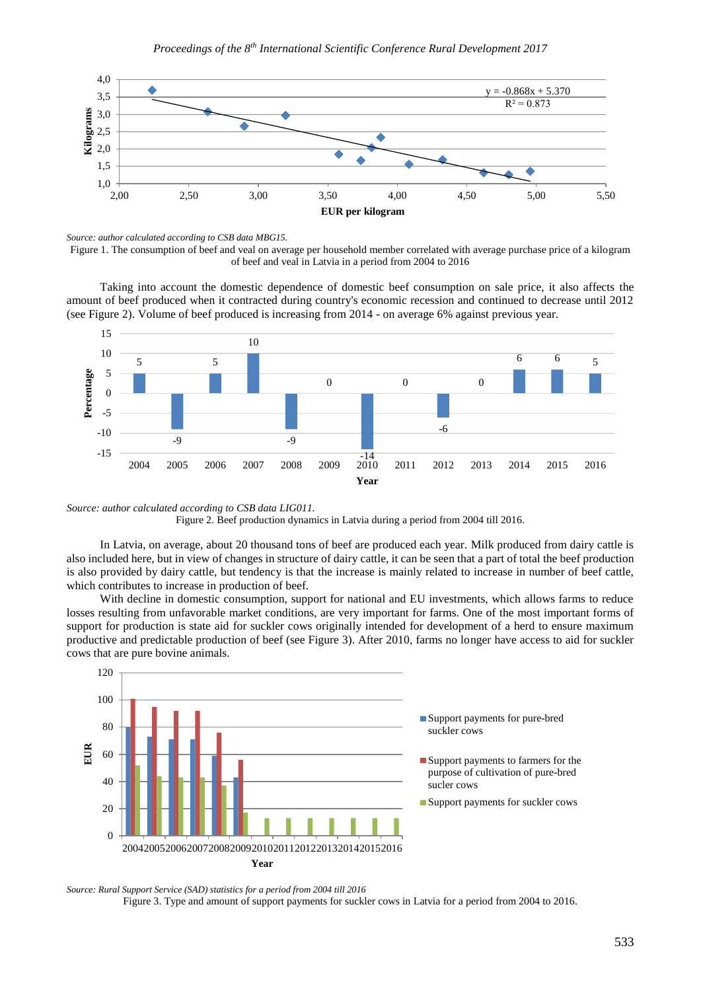

*Source: author calculated according to CSB data MBG15.*

Figure 1. The consumption of beef and veal on average per household member correlated with average purchase price of a kilogram of beef and veal in Latvia in a period from 2004 to 2016

Taking into account the domestic dependence of domestic beef consumption on sale price, it also affects the amount of beef produced when it contracted during country's economic recession and continued to decrease until 2012 (see Figure 2). Volume of beef produced is increasing from 2014 - on average 6% against previous year.



*Source: author calculated according to CSB data LIG011.* Figure 2. Beef production dynamics in Latvia during a period from 2004 till 2016.

In Latvia, on average, about 20 thousand tons of beef are produced each year. Milk produced from dairy cattle is also included here, but in view of changes in structure of dairy cattle, it can be seen that a part of total the beef production is also provided by dairy cattle, but tendency is that the increase is mainly related to increase in number of beef cattle, which contributes to increase in production of beef.

With decline in domestic consumption, support for national and EU investments, which allows farms to reduce losses resulting from unfavorable market conditions, are very important for farms. One of the most important forms of support for production is state aid for suckler cows originally intended for development of a herd to ensure maximum productive and predictable production of beef (see Figure 3). After 2010, farms no longer have access to aid for suckler cows that are pure bovine animals.



*Source: Rural Support Service (SAD) statistics for a period from 2004 till 2016* Figure 3. Type and amount of support payments for suckler cows in Latvia for a period from 2004 to 2016.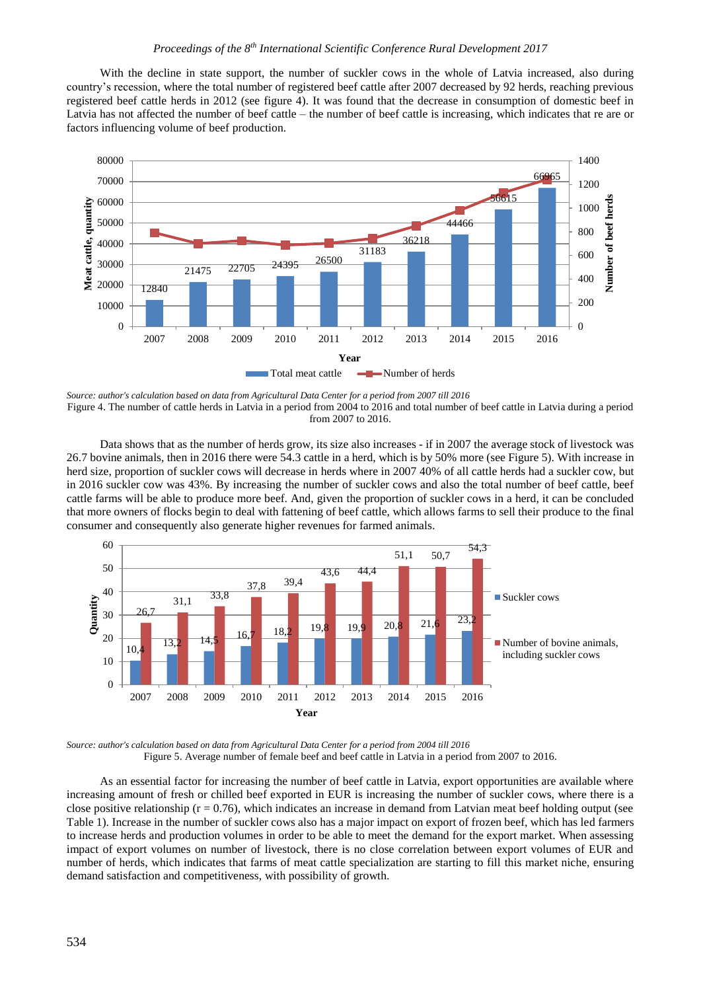With the decline in state support, the number of suckler cows in the whole of Latvia increased, also during country's recession, where the total number of registered beef cattle after 2007 decreased by 92 herds, reaching previous registered beef cattle herds in 2012 (see figure 4). It was found that the decrease in consumption of domestic beef in Latvia has not affected the number of beef cattle – the number of beef cattle is increasing, which indicates that re are or factors influencing volume of beef production.



*Source: author's calculation based on data from Agricultural Data Center for a period from 2007 till 2016* Figure 4. The number of cattle herds in Latvia in a period from 2004 to 2016 and total number of beef cattle in Latvia during a period from 2007 to 2016.

Data shows that as the number of herds grow, its size also increases - if in 2007 the average stock of livestock was 26.7 bovine animals, then in 2016 there were 54.3 cattle in a herd, which is by 50% more (see Figure 5). With increase in herd size, proportion of suckler cows will decrease in herds where in 2007 40% of all cattle herds had a suckler cow, but in 2016 suckler cow was 43%. By increasing the number of suckler cows and also the total number of beef cattle, beef cattle farms will be able to produce more beef. And, given the proportion of suckler cows in a herd, it can be concluded that more owners of flocks begin to deal with fattening of beef cattle, which allows farms to sell their produce to the final consumer and consequently also generate higher revenues for farmed animals.



*Source: author's calculation based on data from Agricultural Data Center for a period from 2004 till 2016* Figure 5. Average number of female beef and beef cattle in Latvia in a period from 2007 to 2016.

As an essential factor for increasing the number of beef cattle in Latvia, export opportunities are available where increasing amount of fresh or chilled beef exported in EUR is increasing the number of suckler cows, where there is a close positive relationship  $(r = 0.76)$ , which indicates an increase in demand from Latvian meat beef holding output (see Table 1). Increase in the number of suckler cows also has a major impact on export of frozen beef, which has led farmers to increase herds and production volumes in order to be able to meet the demand for the export market. When assessing impact of export volumes on number of livestock, there is no close correlation between export volumes of EUR and number of herds, which indicates that farms of meat cattle specialization are starting to fill this market niche, ensuring demand satisfaction and competitiveness, with possibility of growth.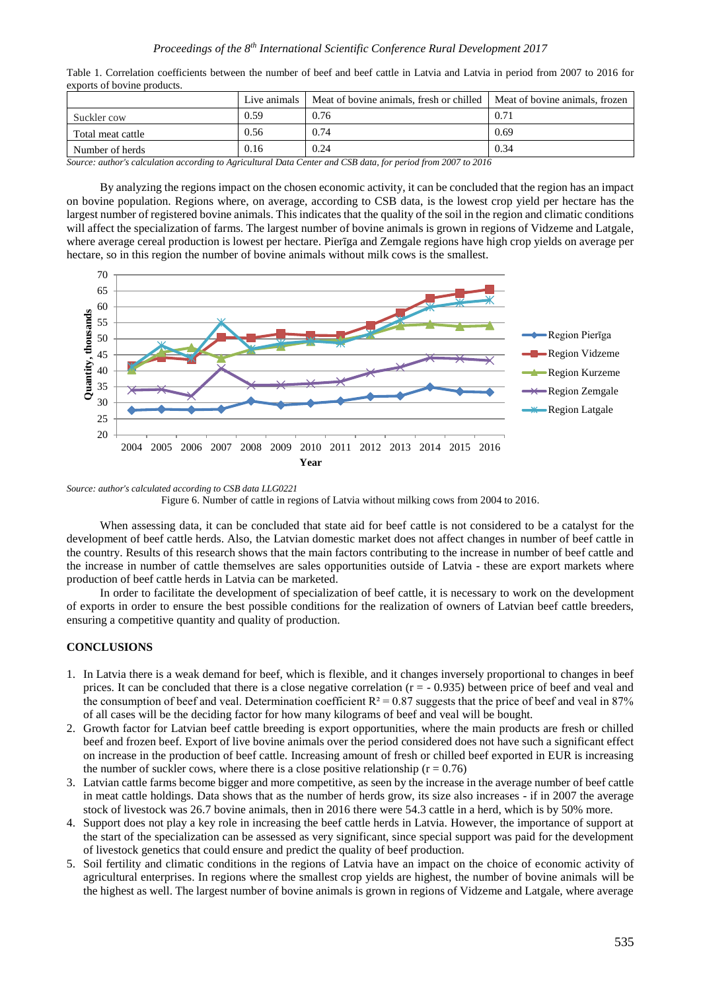|                   | Live animals | $\mid$ Meat of bovine animals, fresh or chilled $\mid$ Meat of bovine animals, frozen |      |
|-------------------|--------------|---------------------------------------------------------------------------------------|------|
| Suckler cow       | 0.59         | 0.76                                                                                  | 0.71 |
| Total meat cattle | 0.56         | 0.74                                                                                  | 0.69 |
| Number of herds   | 0.16         | 0.24                                                                                  | 0.34 |

Table 1. Correlation coefficients between the number of beef and beef cattle in Latvia and Latvia in period from 2007 to 2016 for exports of bovine products.

*Source: author's calculation according to Agricultural Data Center and CSB data, for period from 2007 to 2016*

By analyzing the regions impact on the chosen economic activity, it can be concluded that the region has an impact on bovine population. Regions where, on average, according to CSB data, is the lowest crop yield per hectare has the largest number of registered bovine animals. This indicates that the quality of the soil in the region and climatic conditions will affect the specialization of farms. The largest number of bovine animals is grown in regions of Vidzeme and Latgale, where average cereal production is lowest per hectare. Pierīga and Zemgale regions have high crop yields on average per hectare, so in this region the number of bovine animals without milk cows is the smallest.



*Source: author's calculated according to CSB data LLG0221*

Figure 6. Number of cattle in regions of Latvia without milking cows from 2004 to 2016.

When assessing data, it can be concluded that state aid for beef cattle is not considered to be a catalyst for the development of beef cattle herds. Also, the Latvian domestic market does not affect changes in number of beef cattle in the country. Results of this research shows that the main factors contributing to the increase in number of beef cattle and the increase in number of cattle themselves are sales opportunities outside of Latvia - these are export markets where production of beef cattle herds in Latvia can be marketed.

In order to facilitate the development of specialization of beef cattle, it is necessary to work on the development of exports in order to ensure the best possible conditions for the realization of owners of Latvian beef cattle breeders, ensuring a competitive quantity and quality of production.

#### **CONCLUSIONS**

- 1. In Latvia there is a weak demand for beef, which is flexible, and it changes inversely proportional to changes in beef prices. It can be concluded that there is a close negative correlation  $(r = -0.935)$  between price of beef and veal and the consumption of beef and veal. Determination coefficient  $R^2 = 0.87$  suggests that the price of beef and veal in 87% of all cases will be the deciding factor for how many kilograms of beef and veal will be bought.
- 2. Growth factor for Latvian beef cattle breeding is export opportunities, where the main products are fresh or chilled beef and frozen beef. Export of live bovine animals over the period considered does not have such a significant effect on increase in the production of beef cattle. Increasing amount of fresh or chilled beef exported in EUR is increasing the number of suckler cows, where there is a close positive relationship ( $r = 0.76$ )
- 3. Latvian cattle farms become bigger and more competitive, as seen by the increase in the average number of beef cattle in meat cattle holdings. Data shows that as the number of herds grow, its size also increases - if in 2007 the average stock of livestock was 26.7 bovine animals, then in 2016 there were 54.3 cattle in a herd, which is by 50% more.
- 4. Support does not play a key role in increasing the beef cattle herds in Latvia. However, the importance of support at the start of the specialization can be assessed as very significant, since special support was paid for the development of livestock genetics that could ensure and predict the quality of beef production.
- 5. Soil fertility and climatic conditions in the regions of Latvia have an impact on the choice of economic activity of agricultural enterprises. In regions where the smallest crop yields are highest, the number of bovine animals will be the highest as well. The largest number of bovine animals is grown in regions of Vidzeme and Latgale, where average